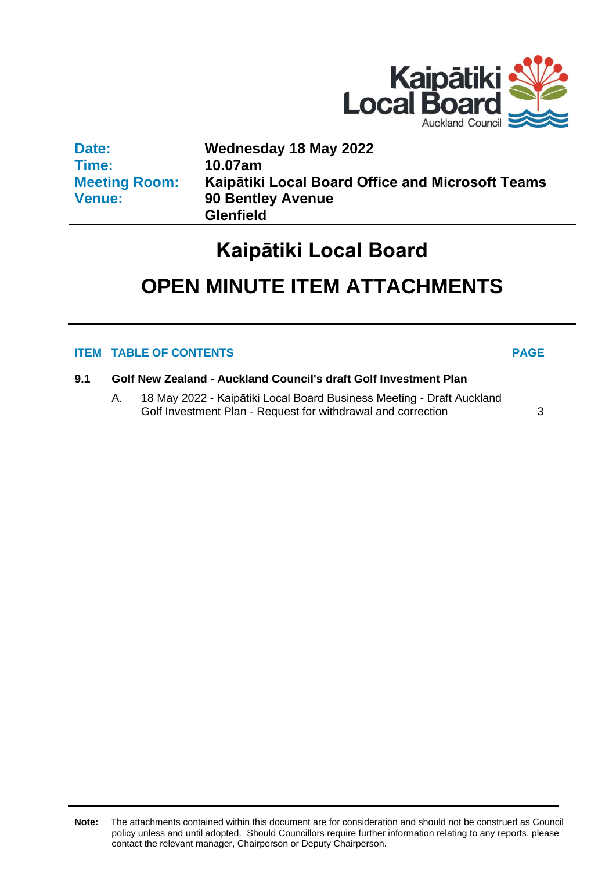

| Date:                | Wednesday 18 May 2022                            |
|----------------------|--------------------------------------------------|
| Time:                | 10.07am                                          |
| <b>Meeting Room:</b> | Kaipātiki Local Board Office and Microsoft Teams |
| <b>Venue:</b>        | <b>90 Bentley Avenue</b>                         |
|                      | <b>Glenfield</b>                                 |

## **Kaipātiki Local Board**

# **OPEN MINUTE ITEM ATTACHMENTS**

### **ITEM TABLE OF CONTENTS PAGE**

- **9.1 Golf New Zealand - Auckland Council's draft Golf Investment Plan**
	- A. 18 May 2022 Kaipātiki Local Board Business Meeting Draft Auckland Golf Investment Plan - Request for withdrawal and correction [3](#page-2-0)

**Note:** The attachments contained within this document are for consideration and should not be construed as Council policy unless and until adopted. Should Councillors require further information relating to any reports, please contact the relevant manager, Chairperson or Deputy Chairperson.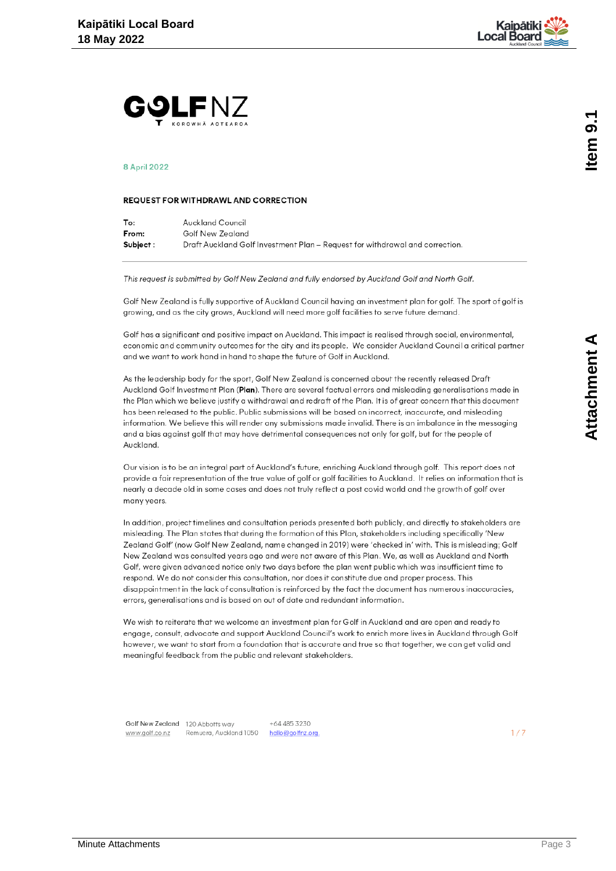

<span id="page-2-0"></span>

#### **8 April 2022**

#### **REQUEST FOR WITHDRAWL AND CORRECTION**

| To:       | Auckland Council                                                             |
|-----------|------------------------------------------------------------------------------|
| From:     | Golf New Zealand                                                             |
| Subject : | Draft Auckland Golf Investment Plan – Request for withdrawal and correction. |

This request is submitted by Golf New Zealand and fully endorsed by Auckland Golf and North Golf.

Golf New Zealand is fully supportive of Auckland Council having an investment plan for golf. The sport of golf is growing, and as the city grows, Auckland will need more golf facilities to serve future demand.

Golf has a significant and positive impact on Auckland. This impact is realised through social, environmental, economic and community outcomes for the city and its people. We consider Auckland Council a critical partner and we want to work hand in hand to shape the future of Golf in Auckland.

As the leadership body for the sport, Golf New Zealand is concerned about the recently released Draft Auckland Golf Investment Plan (Plan). There are several factual errors and misleading generalisations made in the Plan which we believe justify a withdrawal and redraft of the Plan. It is of great concern that this document has been released to the public. Public submissions will be based on incorrect, inaccurate, and misleading information. We believe this will render any submissions made invalid. There is an imbalance in the messaging and a bias against golf that may have detrimental consequences not only for golf, but for the people of Auckland.

Our vision is to be an integral part of Auckland's future, enriching Auckland through golf. This report does not provide a fair representation of the true value of golf or golf facilities to Auckland. It relies on information that is nearly a decade old in some cases and does not truly reflect a post covid world and the growth of golf over many years.

In addition, project timelines and consultation periods presented both publicly, and directly to stakeholders are misleading. The Plan states that during the formation of this Plan, stakeholders including specifically 'New Zealand Golf' (now Golf New Zealand, name changed in 2019) were 'checked in' with. This is misleading; Golf New Zealand was consulted years ago and were not aware of this Plan. We, as well as Auckland and North Golf, were given advanced notice only two days before the plan went public which was insufficient time to respond. We do not consider this consultation, nor does it constitute due and proper process. This disappointment in the lack of consultation is reinforced by the fact the document has numerous inaccuracies, errors, generalisations and is based on out of date and redundant information.

We wish to reiterate that we welcome an investment plan for Golf in Auckland and are open and ready to engage, consult, advocate and support Auckland Council's work to enrich more lives in Auckland through Golf however, we want to start from a foundation that is accurate and true so that together, we can get valid and meaningful feedback from the public and relevant stakeholders.

Golf New Zealand 120 Abbotts way www.golf.co.nz

Remuera, Auckland 1050 hello@golfnz.org.

+64 485 3230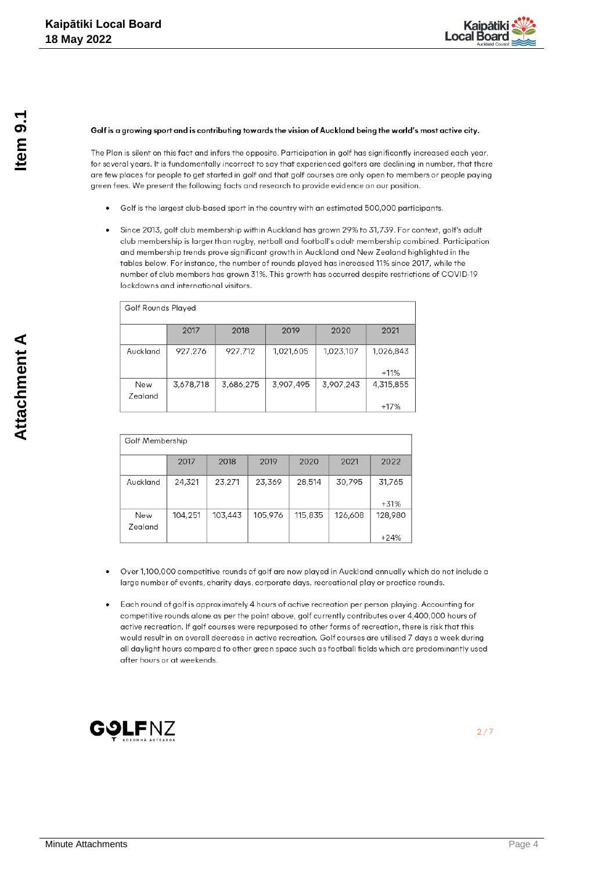

#### Golf is a growing sport and is contributing towards the vision of Auckland being the world's most active city.

The Plan is silent on this fact and infers the opposite. Participation in golf has significantly increased each year, for several years. It is fundamentally incorrect to say that experienced golfers are declining in number, that there are few places for people to get started in golf and that golf courses are only open to members or people paying green fees. We present the following facts and research to provide evidence on our position.

- Golf is the largest club-based sport in the country with an estimated 500,000 participants.
- Since 2013, golf club membership within Auckland has grown 29% to 31,739. For context, golf's adult club membership is larger than rugby, netball and football's adult membership combined. Participation and membership trends prove significant growth in Auckland and New Zealand highlighted in the tables below. For instance, the number of rounds played has increased 11% since 2017, while the number of club members has grown 31%. This growth has occurred despite restrictions of COVID-19 lockdowns and international visitors.

| Golf Rounds Played |           |           |           |           |                     |  |  |
|--------------------|-----------|-----------|-----------|-----------|---------------------|--|--|
|                    | 2017      | 2018      | 2019      | 2020      | 2021                |  |  |
| Auckland           | 927,276   | 927,712   | 1,021,605 | 1,023,107 | 1,026,843<br>$+11%$ |  |  |
| New<br>Zealand     | 3,678,718 | 3,686,275 | 3,907,495 | 3,907,243 | 4,315,855<br>$+17%$ |  |  |

| Golf Membership |         |         |         |         |         |                   |  |  |
|-----------------|---------|---------|---------|---------|---------|-------------------|--|--|
|                 | 2017    | 2018    | 2019    | 2020    | 2021    | 2022              |  |  |
| Auckland        | 24,321  | 23,271  | 23,369  | 28,514  | 30,795  | 31,765<br>$+31%$  |  |  |
| New<br>Zealand  | 104,251 | 103,443 | 105,976 | 115,835 | 126,608 | 128,980<br>$+24%$ |  |  |

- Over 1,100,000 competitive rounds of golf are now played in Auckland annually which do not include a large number of events, charity days, corporate days, recreational play or practice rounds.
- Each round of golf is approximately 4 hours of active recreation per person playing. Accounting for competitive rounds alone as per the point above, golf currently contributes over 4,400,000 hours of active recreation. If golf courses were repurposed to other forms of recreation, there is risk that this would result in an overall decrease in active recreation. Golf courses are utilised 7 days a week during all daylight hours compared to other green space such as football fields which are predominantly used after hours or at weekends.

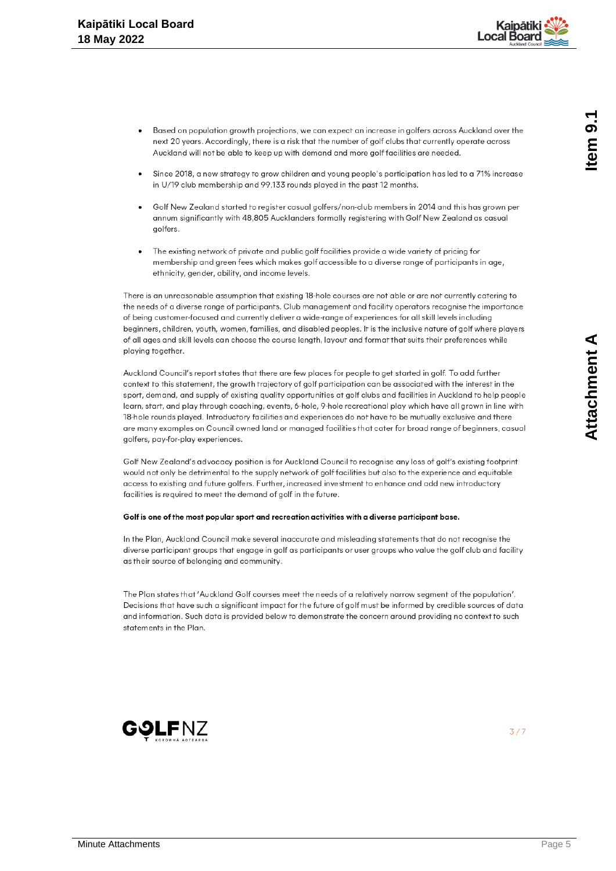

- Based on population growth projections, we can expect an increase in golfers across Auckland over the next 20 years. Accordingly, there is a risk that the number of golf clubs that currently operate across Auckland will not be able to keep up with demand and more golf facilities are needed.
- Since 2018, a new strategy to grow children and young people's participation has led to a 71% increase in U/19 club membership and 99,133 rounds played in the past 12 months.
- Golf New Zealand started to register casual golfers/non-club members in 2014 and this has grown per annum significantly with 48,805 Aucklanders formally registering with Golf New Zealand as casual golfers.
- The existing network of private and public golf facilities provide a wide variety of pricing for membership and green fees which makes golf accessible to a diverse range of participants in age, ethnicity, gender, ability, and income levels.

There is an unreasonable assumption that existing 18-hole courses are not able or are not currently catering to the needs of a diverse range of participants. Club management and facility operators recognise the importance of being customer-focused and currently deliver a wide-range of experiences for all skill levels including beginners, children, youth, women, families, and disabled peoples. It is the inclusive nature of golf where players of all ages and skill levels can choose the course length, layout and format that suits their preferences while playing together.

Auckland Council's report states that there are few places for people to get started in golf. To add further context to this statement, the arowth trajectory of golf participation can be associated with the interest in the sport, demand, and supply of existing quality opportunities at golf clubs and facilities in Auckland to help people learn, start, and play through coaching, events, 6-hole, 9-hole recreational play which have all grown in line with 18-hole rounds played. Introductory facilities and experiences do not have to be mutually exclusive and there are many examples on Council owned land or managed facilities that cater for broad range of beginners, casual golfers, pay-for-play experiences.

Golf New Zealand's advocacy position is for Auckland Council to recognise any loss of golf's existing footprint would not only be detrimental to the supply network of golf facilities but also to the experience and equitable access to existing and future golfers. Further, increased investment to enhance and add new introductory facilities is required to meet the demand of golf in the future.

#### Golf is one of the most popular sport and recreation activities with a diverse participant base.

In the Plan, Auckland Council make several inaccurate and misleading statements that do not recognise the diverse participant groups that engage in golf as participants or user groups who value the golf club and facility as their source of belonging and community.

The Plan states that 'Auckland Golf courses meet the needs of a relatively narrow segment of the population'. Decisions that have such a significant impact for the future of golf must be informed by credible sources of data and information. Such data is provided below to demonstrate the concern around providing no context to such statements in the Plan.

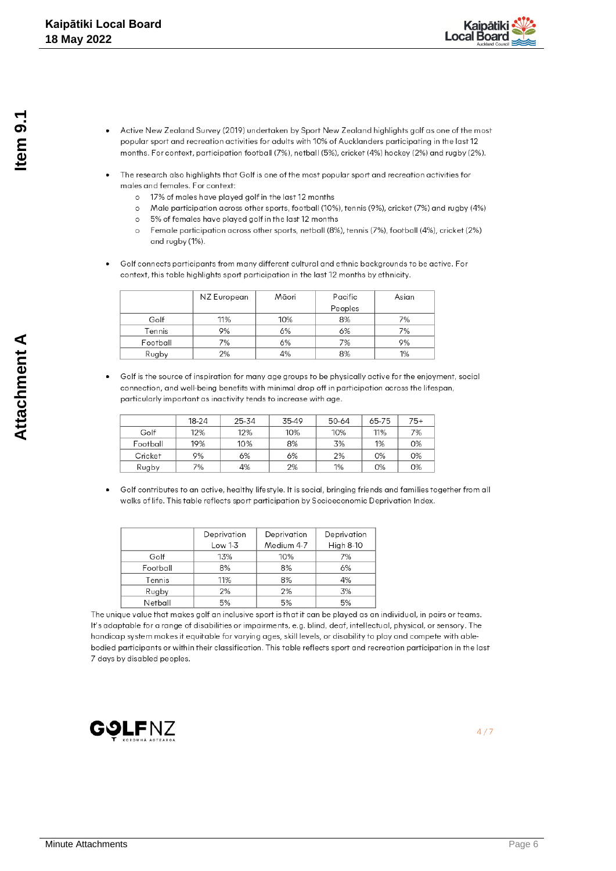

- Active New Zealand Survey (2019) undertaken by Sport New Zealand highlights golf as one of the most popular sport and recreation activities for adults with 10% of Aucklanders participating in the last 12 months. For context, participation football (7%), netball (5%), cricket (4%) hockey (2%) and rugby (2%).
- The research also highlights that Golf is one of the most popular sport and recreation activities for males and females. For context:
	- o 17% of males have played golf in the last 12 months
	- o Male participation across other sports, football (10%), tennis (9%), cricket (7%) and rugby (4%)
	- 5% of females have played golf in the last 12 months  $\circ$
	- $\circ$ Female participation across other sports, netball (8%), tennis (7%), football (4%), cricket (2%) and rugby (1%).
- Golf connects participants from many different cultural and ethnic backgrounds to be active. For context, this table highlights sport participation in the last 12 months by ethnicity.

|          | NZ European | Māori | Pacific | Asian |
|----------|-------------|-------|---------|-------|
|          |             |       | Peoples |       |
| Golf     | 11%         | 10%   | 8%      | 7%    |
| Tennis   | 9%          | 6%    | 6%      | 7%    |
| Football | 7%          | 6%    | 7%      | 9%    |
| Rugby    | 2%          | 4%    | 8%      | 1%    |

Golf is the source of inspiration for many age groups to be physically active for the enjoyment, social connection, and well-being benefits with minimal drop off in participation across the lifespan, particularly important as inactivity tends to increase with age.

|          | 18-24 | 25-34 | 35-49 | 50-64 | 65-75 | 75+ |
|----------|-------|-------|-------|-------|-------|-----|
| Golf     | 12%   | 12%   | 10%   | 10%   | 11%   | 7%  |
| Football | 19%   | 10%   | 8%    | 3%    | 1%    | 0%  |
| Cricket  | 9%    | 6%    | 6%    | 2%    | 0%    | 0%  |
| Rugby    | 7%    | 4%    | 2%    | 1%    | 0%    | 0%  |

Golf contributes to an active, healthy lifestyle. It is social, bringing friends and families together from all walks of life. This table reflects sport participation by Socioeconomic Deprivation Index.

|          | Deprivation<br>Deprivation |            | Deprivation      |  |
|----------|----------------------------|------------|------------------|--|
|          | Low 1-3                    | Medium 4-7 | <b>High 8-10</b> |  |
| Golf     | 13%                        | 10%        | 7%               |  |
| Football | 8%                         | 8%         | 6%               |  |
| Tennis   | 11%                        | 8%         | 4%               |  |
| Rugby    | 2%                         | 2%         | 3%               |  |
| Netball  | 5%                         | 5%         | 5%               |  |

The unique value that makes golf an inclusive sport is that it can be played as an individual, in pairs or teams. It's adaptable for a range of disabilities or impairments, e.g. blind, deaf, intellectual, physical, or sensory. The handicap system makes it equitable for varying ages, skill levels, or disability to play and compete with ablebodied participants or within their classification. This table reflects sport and recreation participation in the last 7 days by disabled peoples.

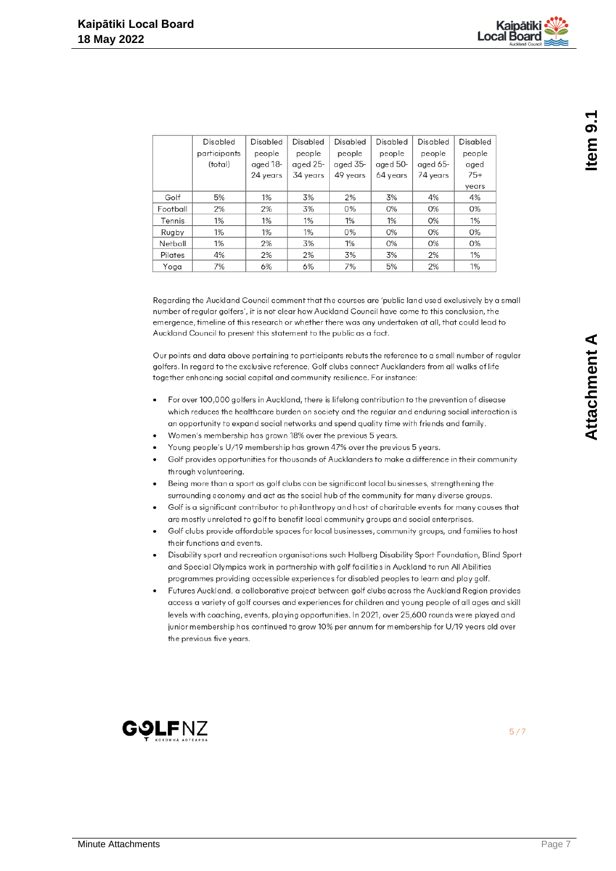|          | Disabled     | Disabled | Disabled | Disabled | Disabled | Disabled | Disabled |
|----------|--------------|----------|----------|----------|----------|----------|----------|
|          | participants | people   | people   | people   | people   | people   | people   |
|          | (total)      | aged 18- | aged 25- | aged 35- | aged 50- | aged 65- | aged     |
|          |              | 24 years | 34 years | 49 years | 64 years | 74 years | $75+$    |
|          |              |          |          |          |          |          | years    |
| Golf     | 5%           | 1%       | 3%       | 2%       | 3%       | 4%       | 4%       |
| Football | 2%           | 2%       | 3%       | 0%       | 0%       | 0%       | 0%       |
| Tennis   | 1%           | 1%       | 1%       | 1%       | 1%       | 0%       | 1%       |
| Rugby    | 1%           | 1%       | 1%       | 0%       | 0%       | 0%       | 0%       |
| Netball  | 1%           | 2%       | 3%       | 1%       | 0%       | 0%       | 0%       |
| Pilates  | 4%           | 2%       | 2%       | 3%       | 3%       | 2%       | 1%       |
| Yoga     | 7%           | 6%       | 6%       | 7%       | 5%       | 2%       | 1%       |

Regarding the Auckland Council comment that the courses are 'public land used exclusively by a small number of regular golfers', it is not clear how Auckland Council have come to this conclusion, the emergence, timeline of this research or whether there was any undertaken at all, that could lead to Auckland Council to present this statement to the public as a fact.

Our points and data above pertaining to participants rebuts the reference to a small number of regular golfers. In regard to the exclusive reference, Golf clubs connect Aucklanders from all walks of life together enhancing social capital and community resilience. For instance:

- For over 100,000 golfers in Auckland, there is lifelong contribution to the prevention of disease  $\ddot{\phantom{0}}$ which reduces the healthcare burden on society and the regular and enduring social interaction is an opportunity to expand social networks and spend quality time with friends and family.
- Women's membership has grown 18% over the previous 5 years.
- Young people's U/19 membership has grown 47% over the previous 5 years.
- Golf provides opportunities for thousands of Aucklanders to make a difference in their community through volunteering.
- Being more than a sport as golf clubs can be significant local businesses, strengthening the surrounding economy and act as the social hub of the community for many diverse groups.
- Golf is a significant contributor to philanthropy and host of charitable events for many causes that are mostly unrelated to golf to benefit local community groups and social enterprises.
- Golf clubs provide affordable spaces for local businesses, community groups, and families to host their functions and events.
- Disability sport and recreation organisations such Halberg Disability Sport Foundation, Blind Sport and Special Olympics work in partnership with golf facilities in Auckland to run All Abilities programmes providing accessible experiences for disabled peoples to learn and play golf.
- Futures Auckland, a collaborative project between golf clubs across the Auckland Region provides access a variety of golf courses and experiences for children and young people of all ages and skill levels with coaching, events, playing opportunities. In 2021, over 25,600 rounds were played and junior membership has continued to grow 10% per annum for membership for U/19 years old over the previous five years.

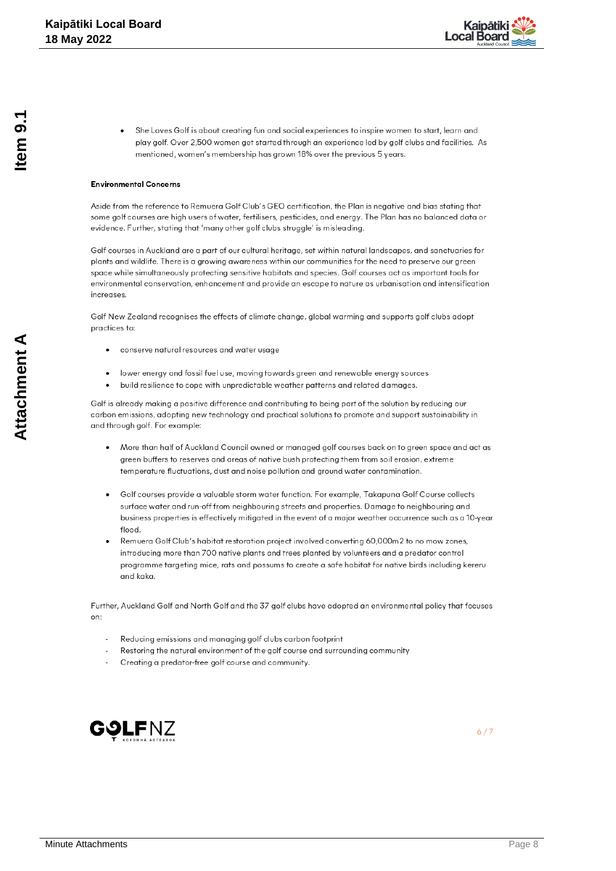

She Loves Golf is about creating fun and social experiences to inspire women to start, learn and play golf. Over 2,500 women get started through an experience led by golf clubs and facilities. As mentioned, women's membership has grown 18% over the previous 5 years.

### **Environmental Concerns**

Aside from the reference to Remuera Golf Club's GEO certification, the Plan is negative and bias stating that some golf courses are high users of water, fertilisers, pesticides, and energy. The Plan has no balanced data or evidence. Further, stating that 'many other golf clubs struggle' is misleading.

Golf courses in Auckland are a part of our cultural heritage, set within natural landscapes, and sanctuaries for plants and wildlife. There is a growing awareness within our communities for the need to preserve our green space while simultaneously protecting sensitive habitats and species. Golf courses act as important tools for environmental conservation, enhancement and provide an escape to nature as urbanisation and intensification increases

Golf New Zealand recognises the effects of climate change, global warming and supports golf clubs adopt practices to:

- conserve natural resources and water usage
- lower energy and fossil fuel use, moving towards green and renewable energy sources
- build resilience to cope with unpredictable weather patterns and related damages.

Golf is already making a positive difference and contributing to being part of the solution by reducing our carbon emissions, adopting new technology and practical solutions to promote and support sustainability in and through golf. For example:

- More than half of Auckland Council owned or managed golf courses back on to green space and act as green buffers to reserves and areas of native bush protecting them from soil erosion, extreme temperature fluctuations, dust and noise pollution and ground water contamination.
- Golf courses provide a valuable storm water function. For example, Takapuna Golf Course collects surface water and run-off from neighbouring streets and properties. Damage to neighbouring and business properties is effectively mitigated in the event of a major weather occurrence such as a 10-year flood
- Remuera Golf Club's habitat restoration project involved converting 60,000m2 to no mow zones, introducing more than 700 native plants and trees planted by volunteers and a predator control programme targeting mice, rats and possums to create a safe habitat for native birds including kereru and kaka.

Further, Auckland Golf and North Golf and the 37 golf clubs have adopted an environmental policy that focuses on:

- Reducing emissions and managing golf clubs carbon footprint
- Restoring the natural environment of the golf course and surrounding community
- Creating a predator-free golf course and community.